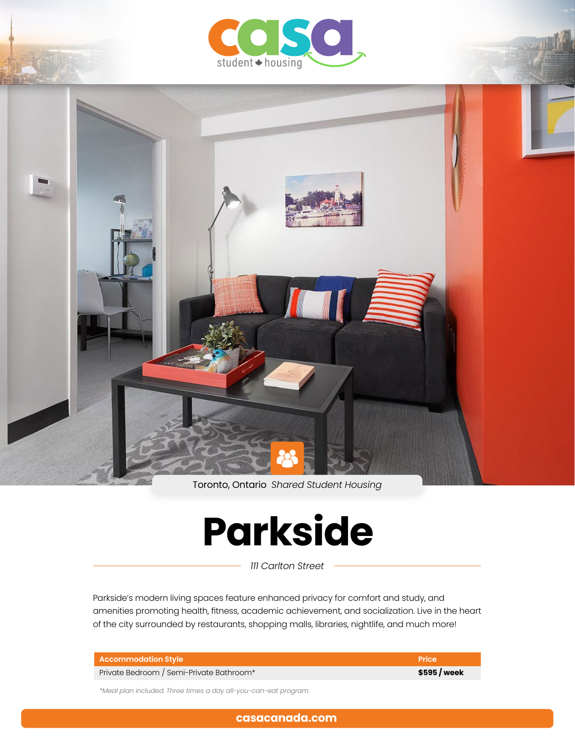



Toronto, Ontario *Shared Student Housing*

# **Parkside**

*111 Carlton Street*

Parkside's modern living spaces feature enhanced privacy for comfort and study, and amenities promoting health, fitness, academic achievement, and socialization. Live in the heart of the city surrounded by restaurants, shopping malls, libraries, nightlife, and much more!

| <b>Accommodation Style</b>               | <b>Price</b> |
|------------------------------------------|--------------|
| Private Bedroom / Semi-Private Bathroom* | \$595/week   |

*\*Meal plan included. Three times a day all-you-can-eat program.*